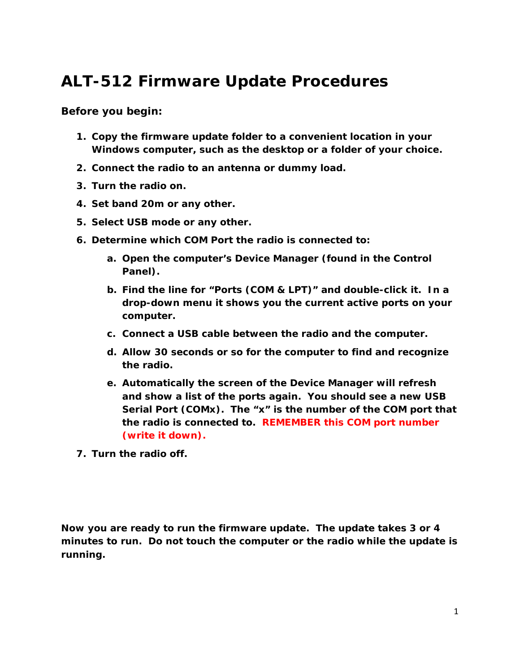## **ALT-512 Firmware Update Procedures**

**Before you begin:**

- **1. Copy the firmware update folder to a convenient location in your Windows computer, such as the desktop or a folder of your choice.**
- **2. Connect the radio to an antenna or dummy load.**
- **3. Turn the radio on.**
- **4. Set band 20m or any other.**
- **5. Select USB mode or any other.**
- **6. Determine which COM Port the radio is connected to:**
	- **a. Open the computer's Device Manager (found in the Control Panel).**
	- **b. Find the line for "Ports (COM & LPT)" and double-click it. In a drop-down menu it shows you the current active ports on your computer.**
	- **c. Connect a USB cable between the radio and the computer.**
	- **d. Allow 30 seconds or so for the computer to find and recognize the radio.**
	- **e. Automatically the screen of the Device Manager will refresh and show a list of the ports again. You should see a new USB Serial Port (COMx). The "x" is the number of the COM port that the radio is connected to. REMEMBER this COM port number (write it down).**
- **7. Turn the radio off.**

**Now you are ready to run the firmware update. The update takes 3 or 4 minutes to run. Do not touch the computer or the radio while the update is running.**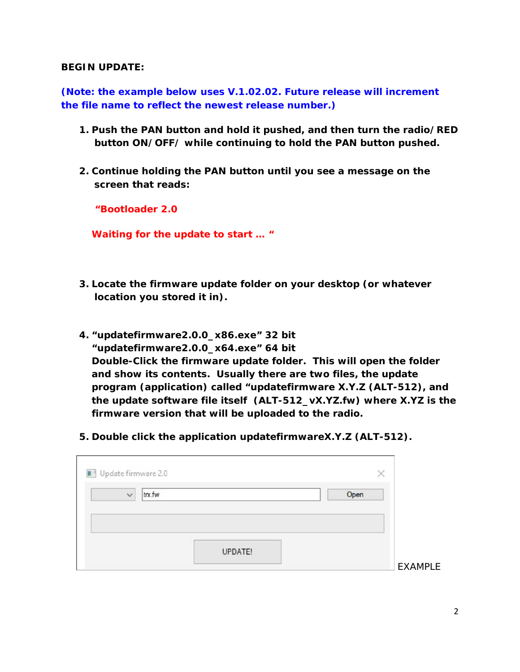## **BEGIN UPDATE:**

**(Note: the example below uses V.1.02.02. Future release will increment the file name to reflect the newest release number.)**

- **1. Push the PAN button and hold it pushed, and then turn the radio/RED button ON/OFF/ while continuing to hold the PAN button pushed.**
- **2. Continue holding the PAN button until you see a message on the screen that reads:**

**"Bootloader 2.0** 

**Waiting for the update to start … "**

- **3. Locate the firmware update folder on your desktop (or whatever location you stored it in).**
- **4. "updatefirmware2.0.0\_x86.exe" 32 bit "updatefirmware2.0.0\_x64.exe" 64 bit Double-Click the firmware update folder. This will open the folder and show its contents. Usually there are two files, the update program (application) called "updatefirmware X.Y.Z (ALT-512), and the update software file itself (ALT-512\_vX.YZ.fw) where X.YZ is the firmware version that will be uploaded to the radio.**
- **5. Double click the application updatefirmwareX.Y.Z (ALT-512).**

| $\checkmark$ | trx.fw | Open |  |
|--------------|--------|------|--|
|              |        |      |  |
|              |        |      |  |
|              |        |      |  |
|              |        |      |  |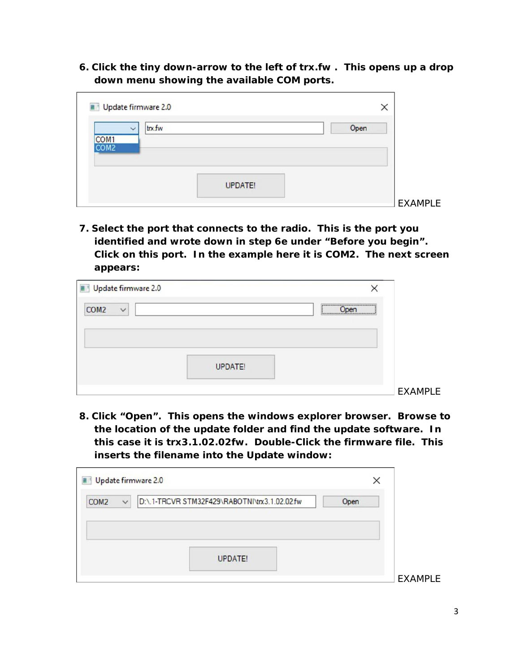**6. Click the tiny down-arrow to the left of trx.fw . This opens up a drop down menu showing the available COM ports.**

|                  | trx.fw |                | Open |  |
|------------------|--------|----------------|------|--|
| COM <sub>1</sub> |        |                |      |  |
| COM <sub>2</sub> |        |                |      |  |
|                  |        |                |      |  |
|                  |        |                |      |  |
|                  |        | <b>UPDATE!</b> |      |  |

**7. Select the port that connects to the radio. This is the port you identified and wrote down in step 6e under "Before you begin". Click on this port. In the example here it is COM2. The next screen appears:**

| Update firmware 2.0              |                |                |
|----------------------------------|----------------|----------------|
| COM <sub>2</sub><br>$\checkmark$ |                | Joen           |
|                                  |                |                |
|                                  |                |                |
|                                  | <b>UPDATE!</b> |                |
|                                  |                | <b>EXAMPLE</b> |

**8. Click "Open". This opens the windows explorer browser. Browse to the location of the update folder and find the update software. In this case it is trx3.1.02.02fw. Double-Click the firmware file. This inserts the filename into the Update window:**

|                  |              | Update firmware 2.0                           | ×    |  |  |
|------------------|--------------|-----------------------------------------------|------|--|--|
| COM <sub>2</sub> | $\checkmark$ | D:\.1-TRCVR STM32F429\RABOTNI\trx3.1.02.02.fw | Open |  |  |
|                  |              |                                               |      |  |  |
|                  |              |                                               |      |  |  |
|                  |              |                                               |      |  |  |
|                  |              | <b>UPDATE!</b>                                |      |  |  |